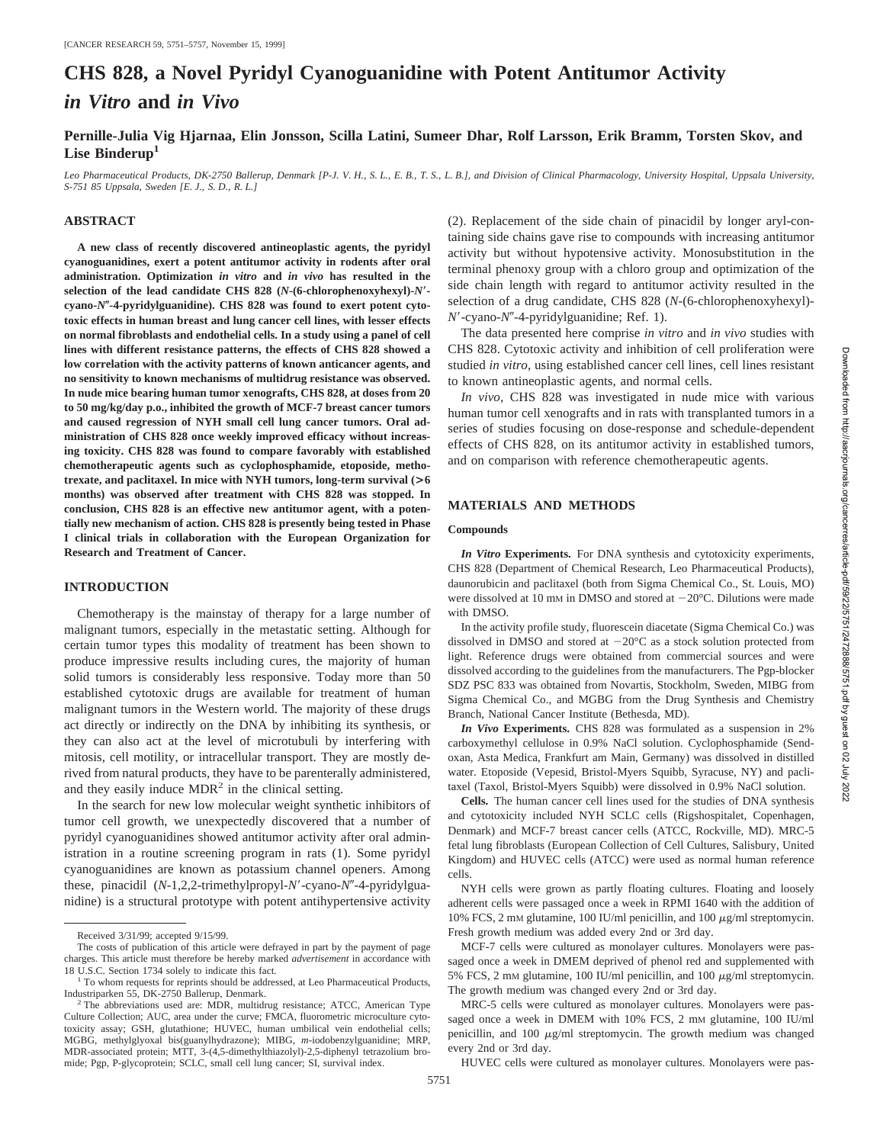# **CHS 828, a Novel Pyridyl Cyanoguanidine with Potent Antitumor Activity** *in Vitro* **and** *in Vivo*

**Pernille-Julia Vig Hjarnaa, Elin Jonsson, Scilla Latini, Sumeer Dhar, Rolf Larsson, Erik Bramm, Torsten Skov, and** Lise Binderup<sup>1</sup>

*Leo Pharmaceutical Products, DK-2750 Ballerup, Denmark [P-J. V. H., S. L., E. B., T. S., L. B.], and Division of Clinical Pharmacology, University Hospital, Uppsala University, S-751 85 Uppsala, Sweden [E. J., S. D., R. L.]*

# **ABSTRACT**

**A new class of recently discovered antineoplastic agents, the pyridyl cyanoguanidines, exert a potent antitumor activity in rodents after oral administration. Optimization** *in vitro* **and** *in vivo* **has resulted in the selection of the lead candidate CHS 828 (***N***-(6-chlorophenoxyhexyl)-***N*\* **cyano-***N*(**-4-pyridylguanidine). CHS 828 was found to exert potent cytotoxic effects in human breast and lung cancer cell lines, with lesser effects on normal fibroblasts and endothelial cells. In a study using a panel of cell lines with different resistance patterns, the effects of CHS 828 showed a low correlation with the activity patterns of known anticancer agents, and no sensitivity to known mechanisms of multidrug resistance was observed. In nude mice bearing human tumor xenografts, CHS 828, at doses from 20 to 50 mg/kg/day p.o., inhibited the growth of MCF-7 breast cancer tumors and caused regression of NYH small cell lung cancer tumors. Oral administration of CHS 828 once weekly improved efficacy without increasing toxicity. CHS 828 was found to compare favorably with established chemotherapeutic agents such as cyclophosphamide, etoposide, methotrexate, and paclitaxel. In mice with NYH tumors, long-term survival (>6 months) was observed after treatment with CHS 828 was stopped. In conclusion, CHS 828 is an effective new antitumor agent, with a potentially new mechanism of action. CHS 828 is presently being tested in Phase I clinical trials in collaboration with the European Organization for Research and Treatment of Cancer.**

# **INTRODUCTION**

Chemotherapy is the mainstay of therapy for a large number of malignant tumors, especially in the metastatic setting. Although for certain tumor types this modality of treatment has been shown to produce impressive results including cures, the majority of human solid tumors is considerably less responsive. Today more than 50 established cytotoxic drugs are available for treatment of human malignant tumors in the Western world. The majority of these drugs act directly or indirectly on the DNA by inhibiting its synthesis, or they can also act at the level of microtubuli by interfering with mitosis, cell motility, or intracellular transport. They are mostly derived from natural products, they have to be parenterally administered, and they easily induce  $MDR<sup>2</sup>$  in the clinical setting.

In the search for new low molecular weight synthetic inhibitors of tumor cell growth, we unexpectedly discovered that a number of pyridyl cyanoguanidines showed antitumor activity after oral administration in a routine screening program in rats (1). Some pyridyl cyanoguanidines are known as potassium channel openers. Among these, pinacidil (*N*-1,2,2-trimethylpropyl-*N'*-cyano-*N''*-4-pyridylguanidine) is a structural prototype with potent antihypertensive activity (2). Replacement of the side chain of pinacidil by longer aryl-containing side chains gave rise to compounds with increasing antitumor activity but without hypotensive activity. Monosubstitution in the terminal phenoxy group with a chloro group and optimization of the side chain length with regard to antitumor activity resulted in the selection of a drug candidate, CHS 828 (*N*-(6-chlorophenoxyhexyl)- *N*9-cyano-*N*0-4-pyridylguanidine; Ref. 1).

The data presented here comprise *in vitro* and *in vivo* studies with CHS 828. Cytotoxic activity and inhibition of cell proliferation were studied *in vitro*, using established cancer cell lines, cell lines resistant to known antineoplastic agents, and normal cells.

*In vivo*, CHS 828 was investigated in nude mice with various human tumor cell xenografts and in rats with transplanted tumors in a series of studies focusing on dose-response and schedule-dependent effects of CHS 828, on its antitumor activity in established tumors, and on comparison with reference chemotherapeutic agents.

# **MATERIALS AND METHODS**

# **Compounds**

*In Vitro* **Experiments.** For DNA synthesis and cytotoxicity experiments, CHS 828 (Department of Chemical Research, Leo Pharmaceutical Products), daunorubicin and paclitaxel (both from Sigma Chemical Co., St. Louis, MO) were dissolved at 10 mm in DMSO and stored at  $-20^{\circ}$ C. Dilutions were made with DMSO.

In the activity profile study, fluorescein diacetate (Sigma Chemical Co.) was dissolved in DMSO and stored at  $-20^{\circ}$ C as a stock solution protected from light. Reference drugs were obtained from commercial sources and were dissolved according to the guidelines from the manufacturers. The Pgp-blocker SDZ PSC 833 was obtained from Novartis, Stockholm, Sweden, MIBG from Sigma Chemical Co., and MGBG from the Drug Synthesis and Chemistry Branch, National Cancer Institute (Bethesda, MD).

*In Vivo* **Experiments.** CHS 828 was formulated as a suspension in 2% carboxymethyl cellulose in 0.9% NaCl solution. Cyclophosphamide (Sendoxan, Asta Medica, Frankfurt am Main, Germany) was dissolved in distilled water. Etoposide (Vepesid, Bristol-Myers Squibb, Syracuse, NY) and paclitaxel (Taxol, Bristol-Myers Squibb) were dissolved in 0.9% NaCl solution.

**Cells.** The human cancer cell lines used for the studies of DNA synthesis and cytotoxicity included NYH SCLC cells (Rigshospitalet, Copenhagen, Denmark) and MCF-7 breast cancer cells (ATCC, Rockville, MD). MRC-5 fetal lung fibroblasts (European Collection of Cell Cultures, Salisbury, United Kingdom) and HUVEC cells (ATCC) were used as normal human reference cells.

NYH cells were grown as partly floating cultures. Floating and loosely adherent cells were passaged once a week in RPMI 1640 with the addition of 10% FCS, 2 mM glutamine, 100 IU/ml penicillin, and 100  $\mu$ g/ml streptomycin. Fresh growth medium was added every 2nd or 3rd day.

MCF-7 cells were cultured as monolayer cultures. Monolayers were passaged once a week in DMEM deprived of phenol red and supplemented with 5% FCS, 2 mM glutamine, 100 IU/ml penicillin, and 100  $\mu$ g/ml streptomycin. The growth medium was changed every 2nd or 3rd day.

MRC-5 cells were cultured as monolayer cultures. Monolayers were passaged once a week in DMEM with 10% FCS, 2 mM glutamine, 100 IU/ml penicillin, and 100  $\mu$ g/ml streptomycin. The growth medium was changed every 2nd or 3rd day.

HUVEC cells were cultured as monolayer cultures. Monolayers were pas-

Received 3/31/99; accepted 9/15/99.

The costs of publication of this article were defrayed in part by the payment of page charges. This article must therefore be hereby marked *advertisement* in accordance with

 $^{\rm 1}$  To whom requests for reprints should be addressed, at Leo Pharmaceutical Products, Industriparken 55, DK-2750 Ballerup, Denmark. <sup>2</sup> The abbreviations used are: MDR, multidrug resistance; ATCC, American Type

Culture Collection; AUC, area under the curve; FMCA, fluorometric microculture cytotoxicity assay; GSH, glutathione; HUVEC, human umbilical vein endothelial cells; MGBG, methylglyoxal bis(guanylhydrazone); MIBG, *m*-iodobenzylguanidine; MRP, MDR-associated protein; MTT, 3-(4,5-dimethylthiazolyl)-2,5-diphenyl tetrazolium bromide; Pgp, P-glycoprotein; SCLC, small cell lung cancer; SI, survival index.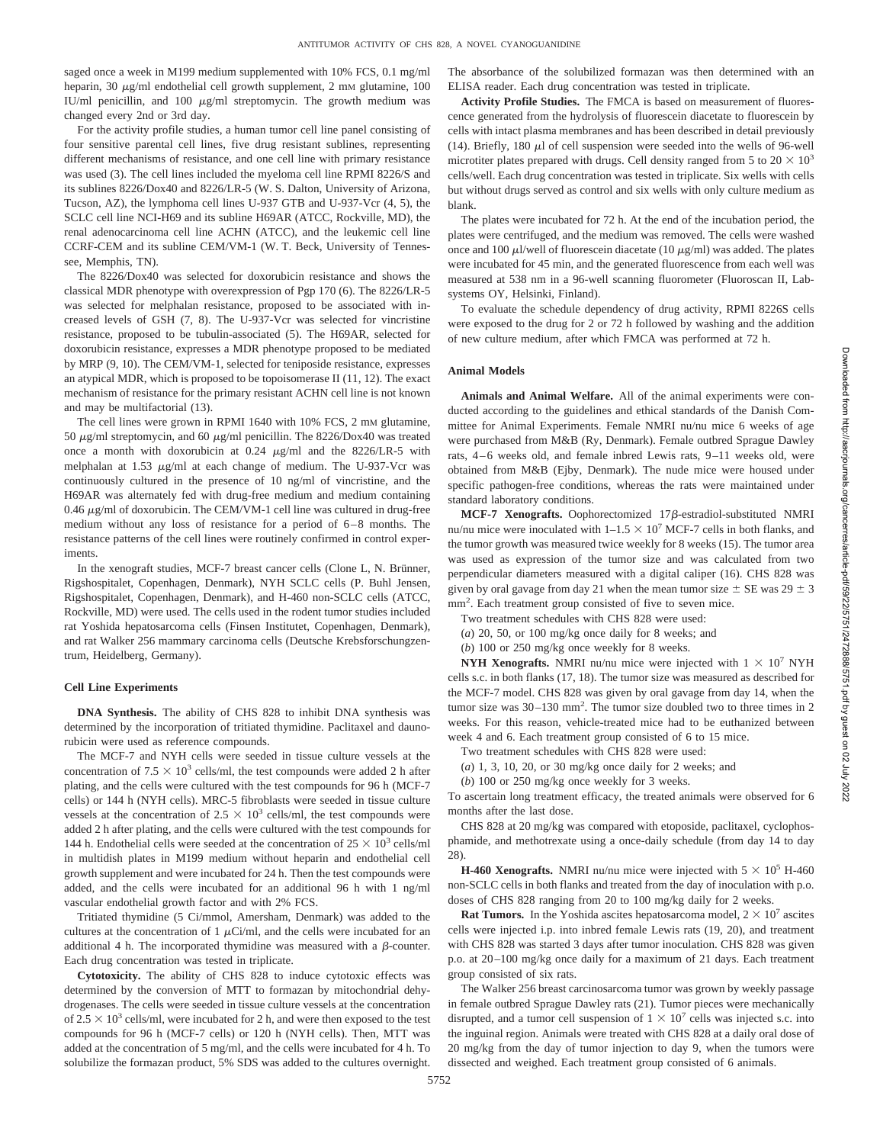saged once a week in M199 medium supplemented with 10% FCS, 0.1 mg/ml heparin, 30  $\mu$ g/ml endothelial cell growth supplement, 2 mM glutamine, 100 IU/ml penicillin, and  $100 \mu g/ml$  streptomycin. The growth medium was changed every 2nd or 3rd day.

For the activity profile studies, a human tumor cell line panel consisting of four sensitive parental cell lines, five drug resistant sublines, representing different mechanisms of resistance, and one cell line with primary resistance was used (3). The cell lines included the myeloma cell line RPMI 8226/S and its sublines 8226/Dox40 and 8226/LR-5 (W. S. Dalton, University of Arizona, Tucson, AZ), the lymphoma cell lines U-937 GTB and U-937-Vcr (4, 5), the SCLC cell line NCI-H69 and its subline H69AR (ATCC, Rockville, MD), the renal adenocarcinoma cell line ACHN (ATCC), and the leukemic cell line CCRF-CEM and its subline CEM/VM-1 (W. T. Beck, University of Tennessee, Memphis, TN).

The 8226/Dox40 was selected for doxorubicin resistance and shows the classical MDR phenotype with overexpression of Pgp 170 (6). The 8226/LR-5 was selected for melphalan resistance, proposed to be associated with increased levels of GSH (7, 8). The U-937-Vcr was selected for vincristine resistance, proposed to be tubulin-associated (5). The H69AR, selected for doxorubicin resistance, expresses a MDR phenotype proposed to be mediated by MRP (9, 10). The CEM/VM-1, selected for teniposide resistance, expresses an atypical MDR, which is proposed to be topoisomerase II (11, 12). The exact mechanism of resistance for the primary resistant ACHN cell line is not known and may be multifactorial (13).

The cell lines were grown in RPMI 1640 with 10% FCS, 2 mm glutamine, 50  $\mu$ g/ml streptomycin, and 60  $\mu$ g/ml penicillin. The 8226/Dox40 was treated once a month with doxorubicin at  $0.24 \mu g/ml$  and the 8226/LR-5 with melphalan at 1.53  $\mu$ g/ml at each change of medium. The U-937-Vcr was continuously cultured in the presence of 10 ng/ml of vincristine, and the H69AR was alternately fed with drug-free medium and medium containing 0.46  $\mu$ g/ml of doxorubicin. The CEM/VM-1 cell line was cultured in drug-free medium without any loss of resistance for a period of 6–8 months. The resistance patterns of the cell lines were routinely confirmed in control experiments.

In the xenograft studies, MCF-7 breast cancer cells (Clone L, N. Brünner, Rigshospitalet, Copenhagen, Denmark), NYH SCLC cells (P. Buhl Jensen, Rigshospitalet, Copenhagen, Denmark), and H-460 non-SCLC cells (ATCC, Rockville, MD) were used. The cells used in the rodent tumor studies included rat Yoshida hepatosarcoma cells (Finsen Institutet, Copenhagen, Denmark), and rat Walker 256 mammary carcinoma cells (Deutsche Krebsforschungzentrum, Heidelberg, Germany).

#### **Cell Line Experiments**

**DNA Synthesis.** The ability of CHS 828 to inhibit DNA synthesis was determined by the incorporation of tritiated thymidine. Paclitaxel and daunorubicin were used as reference compounds.

The MCF-7 and NYH cells were seeded in tissue culture vessels at the concentration of  $7.5 \times 10^3$  cells/ml, the test compounds were added 2 h after plating, and the cells were cultured with the test compounds for 96 h (MCF-7 cells) or 144 h (NYH cells). MRC-5 fibroblasts were seeded in tissue culture vessels at the concentration of  $2.5 \times 10^3$  cells/ml, the test compounds were added 2 h after plating, and the cells were cultured with the test compounds for 144 h. Endothelial cells were seeded at the concentration of  $25 \times 10^3$  cells/ml in multidish plates in M199 medium without heparin and endothelial cell growth supplement and were incubated for 24 h. Then the test compounds were added, and the cells were incubated for an additional 96 h with 1 ng/ml vascular endothelial growth factor and with 2% FCS.

Tritiated thymidine (5 Ci/mmol, Amersham, Denmark) was added to the cultures at the concentration of 1  $\mu$ Ci/ml, and the cells were incubated for an additional 4 h. The incorporated thymidine was measured with a  $\beta$ -counter. Each drug concentration was tested in triplicate.

**Cytotoxicity.** The ability of CHS 828 to induce cytotoxic effects was determined by the conversion of MTT to formazan by mitochondrial dehydrogenases. The cells were seeded in tissue culture vessels at the concentration of  $2.5 \times 10^3$  cells/ml, were incubated for 2 h, and were then exposed to the test compounds for 96 h (MCF-7 cells) or 120 h (NYH cells). Then, MTT was added at the concentration of 5 mg/ml, and the cells were incubated for 4 h. To solubilize the formazan product, 5% SDS was added to the cultures overnight. The absorbance of the solubilized formazan was then determined with an ELISA reader. Each drug concentration was tested in triplicate.

**Activity Profile Studies.** The FMCA is based on measurement of fluorescence generated from the hydrolysis of fluorescein diacetate to fluorescein by cells with intact plasma membranes and has been described in detail previously (14). Briefly, 180  $\mu$ l of cell suspension were seeded into the wells of 96-well microtiter plates prepared with drugs. Cell density ranged from 5 to  $20 \times 10^3$ cells/well. Each drug concentration was tested in triplicate. Six wells with cells but without drugs served as control and six wells with only culture medium as blank.

The plates were incubated for 72 h. At the end of the incubation period, the plates were centrifuged, and the medium was removed. The cells were washed once and 100  $\mu$ l/well of fluorescein diacetate (10  $\mu$ g/ml) was added. The plates were incubated for 45 min, and the generated fluorescence from each well was measured at 538 nm in a 96-well scanning fluorometer (Fluoroscan II, Labsystems OY, Helsinki, Finland).

To evaluate the schedule dependency of drug activity, RPMI 8226S cells were exposed to the drug for 2 or 72 h followed by washing and the addition of new culture medium, after which FMCA was performed at 72 h.

# **Animal Models**

**Animals and Animal Welfare.** All of the animal experiments were conducted according to the guidelines and ethical standards of the Danish Committee for Animal Experiments. Female NMRI nu/nu mice 6 weeks of age were purchased from M&B (Ry, Denmark). Female outbred Sprague Dawley rats, 4–6 weeks old, and female inbred Lewis rats, 9–11 weeks old, were obtained from M&B (Ejby, Denmark). The nude mice were housed under specific pathogen-free conditions, whereas the rats were maintained under standard laboratory conditions.

MCF-7 Xenografts. Oophorectomized 17 $\beta$ -estradiol-substituted NMRI nu/nu mice were inoculated with  $1-1.5 \times 10^7$  MCF-7 cells in both flanks, and the tumor growth was measured twice weekly for 8 weeks (15). The tumor area was used as expression of the tumor size and was calculated from two perpendicular diameters measured with a digital caliper (16). CHS 828 was given by oral gavage from day 21 when the mean tumor size  $\pm$  SE was 29  $\pm$  3 mm<sup>2</sup>. Each treatment group consisted of five to seven mice.

Two treatment schedules with CHS 828 were used:

(*a*) 20, 50, or 100 mg/kg once daily for 8 weeks; and

(*b*) 100 or 250 mg/kg once weekly for 8 weeks.

**NYH Xenografts.** NMRI nu/nu mice were injected with  $1 \times 10^7$  NYH cells s.c. in both flanks (17, 18). The tumor size was measured as described for the MCF-7 model. CHS 828 was given by oral gavage from day 14, when the tumor size was 30–130 mm2 . The tumor size doubled two to three times in 2 weeks. For this reason, vehicle-treated mice had to be euthanized between week 4 and 6. Each treatment group consisted of 6 to 15 mice.

Two treatment schedules with CHS 828 were used:

- (*a*) 1, 3, 10, 20, or 30 mg/kg once daily for 2 weeks; and
- (*b*) 100 or 250 mg/kg once weekly for 3 weeks.

To ascertain long treatment efficacy, the treated animals were observed for 6 months after the last dose.

CHS 828 at 20 mg/kg was compared with etoposide, paclitaxel, cyclophosphamide, and methotrexate using a once-daily schedule (from day 14 to day 28).

**H-460 Xenografts.** NMRI nu/nu mice were injected with  $5 \times 10^5$  H-460 non-SCLC cells in both flanks and treated from the day of inoculation with p.o. doses of CHS 828 ranging from 20 to 100 mg/kg daily for 2 weeks.

**Rat Tumors.** In the Yoshida ascites hepatosarcoma model,  $2 \times 10^7$  ascites cells were injected i.p. into inbred female Lewis rats (19, 20), and treatment with CHS 828 was started 3 days after tumor inoculation. CHS 828 was given p.o. at 20–100 mg/kg once daily for a maximum of 21 days. Each treatment group consisted of six rats.

The Walker 256 breast carcinosarcoma tumor was grown by weekly passage in female outbred Sprague Dawley rats (21). Tumor pieces were mechanically disrupted, and a tumor cell suspension of  $1 \times 10^7$  cells was injected s.c. into the inguinal region. Animals were treated with CHS 828 at a daily oral dose of 20 mg/kg from the day of tumor injection to day 9, when the tumors were dissected and weighed. Each treatment group consisted of 6 animals.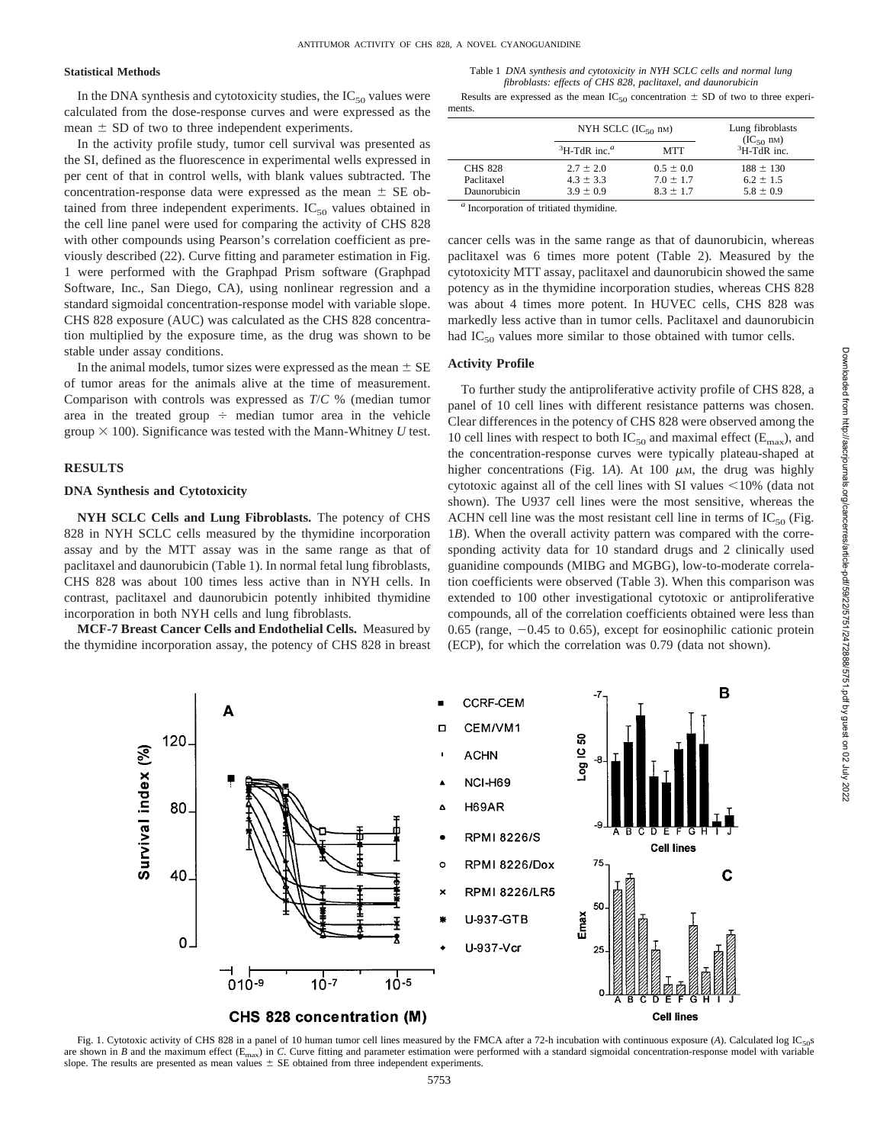### **Statistical Methods**

In the DNA synthesis and cytotoxicity studies, the  $IC_{50}$  values were calculated from the dose-response curves and were expressed as the mean  $\pm$  SD of two to three independent experiments.

In the activity profile study, tumor cell survival was presented as the SI, defined as the fluorescence in experimental wells expressed in per cent of that in control wells, with blank values subtracted. The concentration-response data were expressed as the mean  $\pm$  SE obtained from three independent experiments.  $IC_{50}$  values obtained in the cell line panel were used for comparing the activity of CHS 828 with other compounds using Pearson's correlation coefficient as previously described (22). Curve fitting and parameter estimation in Fig. 1 were performed with the Graphpad Prism software (Graphpad Software, Inc., San Diego, CA), using nonlinear regression and a standard sigmoidal concentration-response model with variable slope. CHS 828 exposure (AUC) was calculated as the CHS 828 concentration multiplied by the exposure time, as the drug was shown to be stable under assay conditions.

In the animal models, tumor sizes were expressed as the mean  $\pm$  SE of tumor areas for the animals alive at the time of measurement. Comparison with controls was expressed as *T*/*C* % (median tumor area in the treated group  $\div$  median tumor area in the vehicle group  $\times$  100). Significance was tested with the Mann-Whitney *U* test.

# **RESULTS**

# **DNA Synthesis and Cytotoxicity**

**NYH SCLC Cells and Lung Fibroblasts.** The potency of CHS 828 in NYH SCLC cells measured by the thymidine incorporation assay and by the MTT assay was in the same range as that of paclitaxel and daunorubicin (Table 1). In normal fetal lung fibroblasts, CHS 828 was about 100 times less active than in NYH cells. In contrast, paclitaxel and daunorubicin potently inhibited thymidine incorporation in both NYH cells and lung fibroblasts.

**MCF-7 Breast Cancer Cells and Endothelial Cells.** Measured by the thymidine incorporation assay, the potency of CHS 828 in breast

Table 1 *DNA synthesis and cytotoxicity in NYH SCLC cells and normal lung fibroblasts: effects of CHS 828, paclitaxel, and daunorubicin*

Results are expressed as the mean  $IC_{50}$  concentration  $\pm$  SD of two to three experiments.

|                |                                         | NYH SCLC $(IC_{50}$ nm) |                                       |
|----------------|-----------------------------------------|-------------------------|---------------------------------------|
|                | ${}^{3}$ H-TdR inc. <sup><i>a</i></sup> | <b>MTT</b>              | $(IC_{50}$ nM)<br>${}^{3}$ H-TdR inc. |
| <b>CHS 828</b> | $2.7 \pm 2.0$                           | $0.5 \pm 0.0$           | $188 \pm 130$                         |
| Paclitaxel     | $4.3 \pm 3.3$                           | $7.0 \pm 1.7$           | $6.2 \pm 1.5$                         |
| Daunorubicin   | $3.9 \pm 0.9$                           | $8.3 \pm 1.7$           | $5.8 \pm 0.9$                         |

Incorporation of tritiated thymidine.

cancer cells was in the same range as that of daunorubicin, whereas paclitaxel was 6 times more potent (Table 2). Measured by the cytotoxicity MTT assay, paclitaxel and daunorubicin showed the same potency as in the thymidine incorporation studies, whereas CHS 828 was about 4 times more potent. In HUVEC cells, CHS 828 was markedly less active than in tumor cells. Paclitaxel and daunorubicin had  $IC_{50}$  values more similar to those obtained with tumor cells.

# **Activity Profile**

To further study the antiproliferative activity profile of CHS 828, a panel of 10 cell lines with different resistance patterns was chosen. Clear differences in the potency of CHS 828 were observed among the 10 cell lines with respect to both  $IC_{50}$  and maximal effect ( $E_{\text{max}}$ ), and the concentration-response curves were typically plateau-shaped at higher concentrations (Fig. 1A). At 100  $\mu$ M, the drug was highly cytotoxic against all of the cell lines with SI values  $\leq$ 10% (data not shown). The U937 cell lines were the most sensitive, whereas the ACHN cell line was the most resistant cell line in terms of  $IC_{50}$  (Fig. 1*B*). When the overall activity pattern was compared with the corresponding activity data for 10 standard drugs and 2 clinically used guanidine compounds (MIBG and MGBG), low-to-moderate correlation coefficients were observed (Table 3). When this comparison was extended to 100 other investigational cytotoxic or antiproliferative compounds, all of the correlation coefficients obtained were less than  $0.65$  (range,  $-0.45$  to 0.65), except for eosinophilic cationic protein (ECP), for which the correlation was 0.79 (data not shown).



Fig. 1. Cytotoxic activity of CHS 828 in a panel of 10 human tumor cell lines measured by the FMCA after a 72-h incubation with continuous exposure (A). Calculated log IC<sub>50</sub>s are shown in *B* and the maximum effect (E<sub>max</sub>) in *C*. Curve fitting and parameter estimation were performed with a standard sigmoidal concentration-response model with variable slope. The results are presented as mean values  $\pm$  SE obtained from three independent experiments.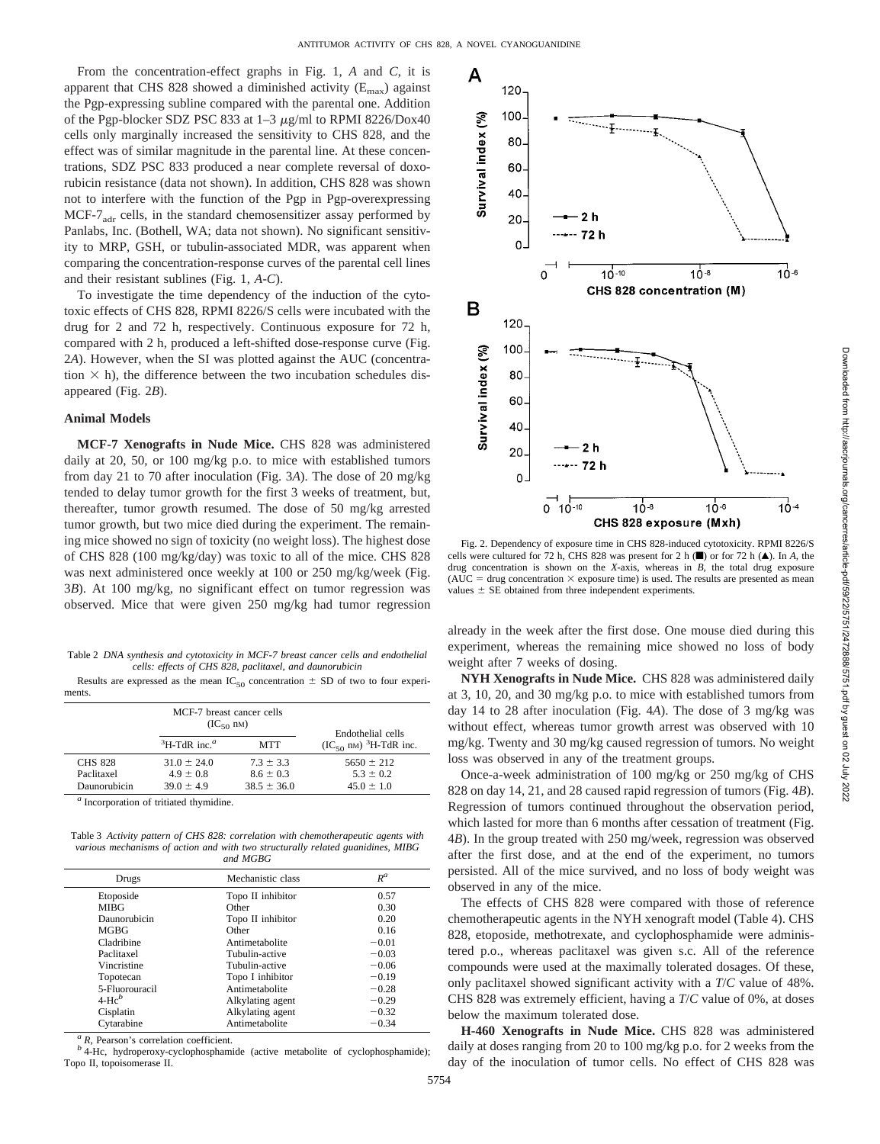From the concentration-effect graphs in Fig. 1, *A* and *C*, it is apparent that CHS 828 showed a diminished activity  $(E_{\text{max}})$  against the Pgp-expressing subline compared with the parental one. Addition of the Pgp-blocker SDZ PSC 833 at  $1-3$   $\mu$ g/ml to RPMI 8226/Dox40 cells only marginally increased the sensitivity to CHS 828, and the effect was of similar magnitude in the parental line. At these concentrations, SDZ PSC 833 produced a near complete reversal of doxorubicin resistance (data not shown). In addition, CHS 828 was shown not to interfere with the function of the Pgp in Pgp-overexpressing  $MCF-7<sub>adr</sub>$  cells, in the standard chemosensitizer assay performed by Panlabs, Inc. (Bothell, WA; data not shown). No significant sensitivity to MRP, GSH, or tubulin-associated MDR, was apparent when comparing the concentration-response curves of the parental cell lines and their resistant sublines (Fig. 1, *A-C*).

To investigate the time dependency of the induction of the cytotoxic effects of CHS 828, RPMI 8226/S cells were incubated with the drug for 2 and 72 h, respectively. Continuous exposure for 72 h, compared with 2 h, produced a left-shifted dose-response curve (Fig. 2*A*). However, when the SI was plotted against the AUC (concentration  $\times$  h), the difference between the two incubation schedules disappeared (Fig. 2*B*).

# **Animal Models**

**MCF-7 Xenografts in Nude Mice.** CHS 828 was administered daily at 20, 50, or 100 mg/kg p.o. to mice with established tumors from day 21 to 70 after inoculation (Fig. 3*A*). The dose of 20 mg/kg tended to delay tumor growth for the first 3 weeks of treatment, but, thereafter, tumor growth resumed. The dose of 50 mg/kg arrested tumor growth, but two mice died during the experiment. The remaining mice showed no sign of toxicity (no weight loss). The highest dose of CHS 828 (100 mg/kg/day) was toxic to all of the mice. CHS 828 was next administered once weekly at 100 or 250 mg/kg/week (Fig. 3*B*). At 100 mg/kg, no significant effect on tumor regression was observed. Mice that were given 250 mg/kg had tumor regression

Table 2 *DNA synthesis and cytotoxicity in MCF-7 breast cancer cells and endothelial cells: effects of CHS 828, paclitaxel, and daunorubicin*

Results are expressed as the mean  $IC_{50}$  concentration  $\pm$  SD of two to four experiments.

|                | MCF-7 breast cancer cells<br>$(IC_{50}$ nM) |                 | Endothelial cells                  |
|----------------|---------------------------------------------|-----------------|------------------------------------|
|                | ${}^{3}$ H-TdR inc. <sup><i>a</i></sup>     | <b>MTT</b>      | $(IC_{50}$ nm) ${}^{3}H$ -TdR inc. |
| <b>CHS 828</b> | $31.0 \pm 24.0$                             | $7.3 \pm 3.3$   | $5650 \pm 212$                     |
| Paclitaxel     | $4.9 \pm 0.8$                               | $8.6 \pm 0.3$   | $5.3 \pm 0.2$                      |
| Daunorubicin   | $39.0 \pm 4.9$                              | $38.5 \pm 36.0$ | $45.0 \pm 1.0$                     |

*<sup>a</sup>* Incorporation of tritiated thymidine.

Table 3 *Activity pattern of CHS 828: correlation with chemotherapeutic agents with various mechanisms of action and with two structurally related guanidines, MIBG and MGBG*

| Drugs          | Mechanistic class | $R^a$   |  |  |
|----------------|-------------------|---------|--|--|
| Etoposide      | Topo II inhibitor | 0.57    |  |  |
| <b>MIBG</b>    | Other             | 0.30    |  |  |
| Daunorubicin   | Topo II inhibitor | 0.20    |  |  |
| MGBG           | Other             | 0.16    |  |  |
| Cladribine     | Antimetabolite    | $-0.01$ |  |  |
| Paclitaxel     | Tubulin-active    | $-0.03$ |  |  |
| Vincristine    | Tubulin-active    | $-0.06$ |  |  |
| Topotecan      | Topo I inhibitor  | $-0.19$ |  |  |
| 5-Fluorouracil | Antimetabolite    | $-0.28$ |  |  |
| $4-Hc^b$       | Alkylating agent  | $-0.29$ |  |  |
| Cisplatin      | Alkylating agent  | $-0.32$ |  |  |
| Cytarabine     | Antimetabolite    | $-0.34$ |  |  |
|                |                   |         |  |  |

 $\alpha$  *R*, Pearson's correlation coefficient.  $\beta$  4-Hc, hydroperoxy-cyclophosphamide (active metabolite of cyclophosphamide); Topo II, topoisomerase II.



Fig. 2. Dependency of exposure time in CHS 828-induced cytotoxicity. RPMI 8226/S cells were cultured for 72 h, CHS 828 was present for 2 h  $(\blacksquare)$  or for 72 h  $(\blacktriangle)$ . In *A*, the drug concentration is shown on the *X*-axis, whereas in *B*, the total drug exposure (AUC  $=$  drug concentration  $\times$  exposure time) is used. The results are presented as mean values  $\pm$  SE obtained from three independent experiments.

already in the week after the first dose. One mouse died during this experiment, whereas the remaining mice showed no loss of body weight after 7 weeks of dosing.

**NYH Xenografts in Nude Mice.** CHS 828 was administered daily at 3, 10, 20, and 30 mg/kg p.o. to mice with established tumors from day 14 to 28 after inoculation (Fig. 4*A*). The dose of 3 mg/kg was without effect, whereas tumor growth arrest was observed with 10 mg/kg. Twenty and 30 mg/kg caused regression of tumors. No weight loss was observed in any of the treatment groups.

Once-a-week administration of 100 mg/kg or 250 mg/kg of CHS 828 on day 14, 21, and 28 caused rapid regression of tumors (Fig. 4*B*). Regression of tumors continued throughout the observation period, which lasted for more than 6 months after cessation of treatment (Fig. 4*B*). In the group treated with 250 mg/week, regression was observed after the first dose, and at the end of the experiment, no tumors persisted. All of the mice survived, and no loss of body weight was observed in any of the mice.

The effects of CHS 828 were compared with those of reference chemotherapeutic agents in the NYH xenograft model (Table 4). CHS 828, etoposide, methotrexate, and cyclophosphamide were administered p.o., whereas paclitaxel was given s.c. All of the reference compounds were used at the maximally tolerated dosages. Of these, only paclitaxel showed significant activity with a *T*/*C* value of 48%. CHS 828 was extremely efficient, having a *T*/*C* value of 0%, at doses below the maximum tolerated dose.

**H-460 Xenografts in Nude Mice.** CHS 828 was administered daily at doses ranging from 20 to 100 mg/kg p.o. for 2 weeks from the day of the inoculation of tumor cells. No effect of CHS 828 was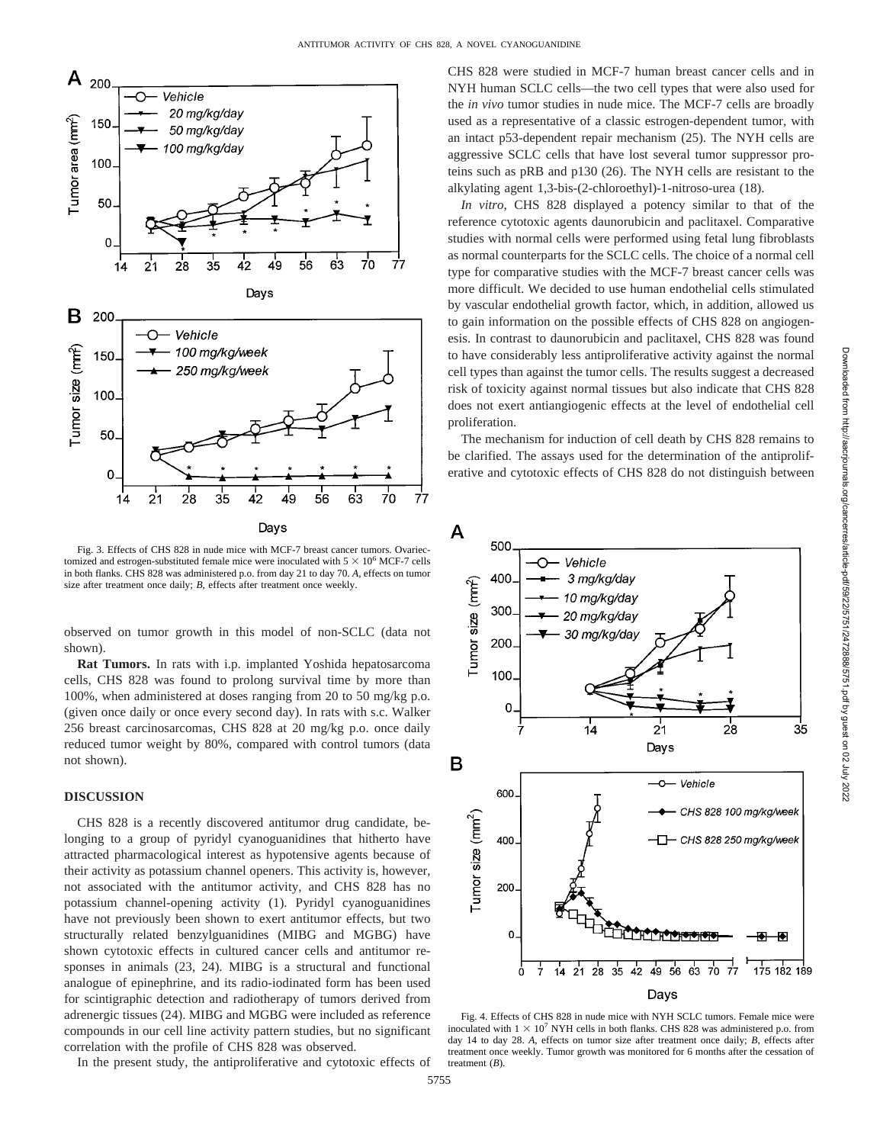

Fig. 3. Effects of CHS 828 in nude mice with MCF-7 breast cancer tumors. Ovariectomized and estrogen-substituted female mice were inoculated with  $5 \times 10^6$  MCF-7 cells in both flanks. CHS 828 was administered p.o. from day 21 to day 70. *A*, effects on tumor size after treatment once daily; *B*, effects after treatment once weekly.

observed on tumor growth in this model of non-SCLC (data not shown).

**Rat Tumors.** In rats with i.p. implanted Yoshida hepatosarcoma cells, CHS 828 was found to prolong survival time by more than 100%, when administered at doses ranging from 20 to 50 mg/kg p.o. (given once daily or once every second day). In rats with s.c. Walker 256 breast carcinosarcomas, CHS 828 at 20 mg/kg p.o. once daily reduced tumor weight by 80%, compared with control tumors (data not shown).

# **DISCUSSION**

CHS 828 is a recently discovered antitumor drug candidate, belonging to a group of pyridyl cyanoguanidines that hitherto have attracted pharmacological interest as hypotensive agents because of their activity as potassium channel openers. This activity is, however, not associated with the antitumor activity, and CHS 828 has no potassium channel-opening activity (1). Pyridyl cyanoguanidines have not previously been shown to exert antitumor effects, but two structurally related benzylguanidines (MIBG and MGBG) have shown cytotoxic effects in cultured cancer cells and antitumor responses in animals (23, 24). MIBG is a structural and functional analogue of epinephrine, and its radio-iodinated form has been used for scintigraphic detection and radiotherapy of tumors derived from adrenergic tissues (24). MIBG and MGBG were included as reference compounds in our cell line activity pattern studies, but no significant correlation with the profile of CHS 828 was observed.

In the present study, the antiproliferative and cytotoxic effects of

CHS 828 were studied in MCF-7 human breast cancer cells and in NYH human SCLC cells—the two cell types that were also used for the *in vivo* tumor studies in nude mice. The MCF-7 cells are broadly used as a representative of a classic estrogen-dependent tumor, with an intact p53-dependent repair mechanism (25). The NYH cells are aggressive SCLC cells that have lost several tumor suppressor proteins such as pRB and p130 (26). The NYH cells are resistant to the alkylating agent 1,3-bis-(2-chloroethyl)-1-nitroso-urea (18).

*In vitro*, CHS 828 displayed a potency similar to that of the reference cytotoxic agents daunorubicin and paclitaxel. Comparative studies with normal cells were performed using fetal lung fibroblasts as normal counterparts for the SCLC cells. The choice of a normal cell type for comparative studies with the MCF-7 breast cancer cells was more difficult. We decided to use human endothelial cells stimulated by vascular endothelial growth factor, which, in addition, allowed us to gain information on the possible effects of CHS 828 on angiogenesis. In contrast to daunorubicin and paclitaxel, CHS 828 was found to have considerably less antiproliferative activity against the normal cell types than against the tumor cells. The results suggest a decreased risk of toxicity against normal tissues but also indicate that CHS 828 does not exert antiangiogenic effects at the level of endothelial cell proliferation.

The mechanism for induction of cell death by CHS 828 remains to be clarified. The assays used for the determination of the antiproliferative and cytotoxic effects of CHS 828 do not distinguish between



Fig. 4. Effects of CHS 828 in nude mice with NYH SCLC tumors. Female mice were inoculated with  $1 \times 10^7$  NYH cells in both flanks. CHS 828 was administered p.o. from day 14 to day 28. *A*, effects on tumor size after treatment once daily; *B*, effects after treatment once weekly. Tumor growth was monitored for 6 months after the cessation of treatment (*B*).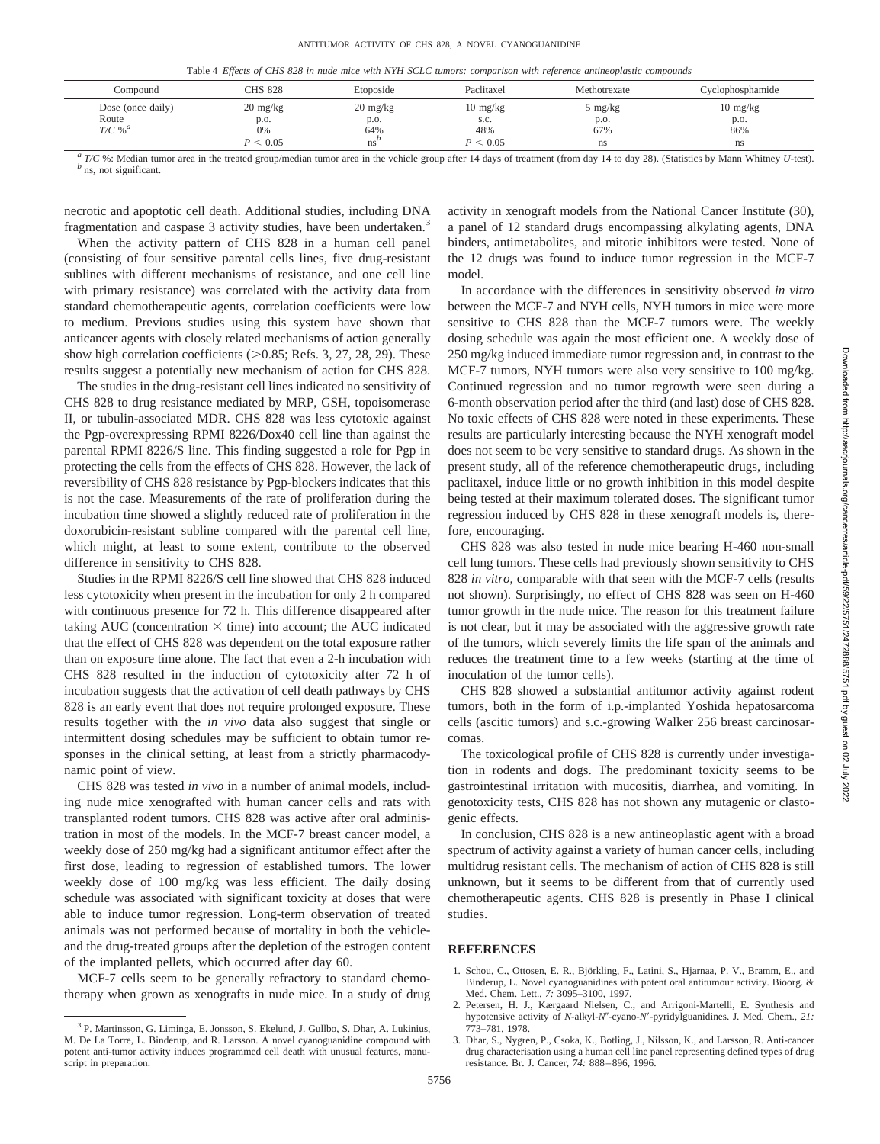Table 4 *Effects of CHS 828 in nude mice with NYH SCLC tumors: comparison with reference antineoplastic compounds*

| Compound                                           | CHS 828                          | Etoposide                         | Paclitaxel                        | Methotrexate           | Cyclophosphamide                  |
|----------------------------------------------------|----------------------------------|-----------------------------------|-----------------------------------|------------------------|-----------------------------------|
| Dose (once daily)<br>Route<br>$T/C$ % <sup>a</sup> | $20 \text{ mg/kg}$<br>p.o.<br>0% | $20 \text{ mg/kg}$<br>p.o.<br>64% | $10 \text{ mg/kg}$<br>s.c.<br>48% | 5 mg/kg<br>p.o.<br>67% | $10 \text{ mg/kg}$<br>p.o.<br>86% |
|                                                    | P < 0.05                         | ns                                | P < 0.05                          | ns                     | <sub>ns</sub>                     |

<sup>a</sup> T/C %: Median tumor area in the treated group/median tumor area in the vehicle group after 14 days of treatment (from day 14 to day 28). (Statistics by Mann Whitney U-test).<br>
<sup>b</sup> ns, not significant.

necrotic and apoptotic cell death. Additional studies, including DNA fragmentation and caspase 3 activity studies, have been undertaken.<sup>3</sup>

When the activity pattern of CHS 828 in a human cell panel (consisting of four sensitive parental cells lines, five drug-resistant sublines with different mechanisms of resistance, and one cell line with primary resistance) was correlated with the activity data from standard chemotherapeutic agents, correlation coefficients were low to medium. Previous studies using this system have shown that anticancer agents with closely related mechanisms of action generally show high correlation coefficients  $(>0.85;$  Refs. 3, 27, 28, 29). These results suggest a potentially new mechanism of action for CHS 828.

The studies in the drug-resistant cell lines indicated no sensitivity of CHS 828 to drug resistance mediated by MRP, GSH, topoisomerase II, or tubulin-associated MDR. CHS 828 was less cytotoxic against the Pgp-overexpressing RPMI 8226/Dox40 cell line than against the parental RPMI 8226/S line. This finding suggested a role for Pgp in protecting the cells from the effects of CHS 828. However, the lack of reversibility of CHS 828 resistance by Pgp-blockers indicates that this is not the case. Measurements of the rate of proliferation during the incubation time showed a slightly reduced rate of proliferation in the doxorubicin-resistant subline compared with the parental cell line, which might, at least to some extent, contribute to the observed difference in sensitivity to CHS 828.

Studies in the RPMI 8226/S cell line showed that CHS 828 induced less cytotoxicity when present in the incubation for only 2 h compared with continuous presence for 72 h. This difference disappeared after taking AUC (concentration  $\times$  time) into account; the AUC indicated that the effect of CHS 828 was dependent on the total exposure rather than on exposure time alone. The fact that even a 2-h incubation with CHS 828 resulted in the induction of cytotoxicity after 72 h of incubation suggests that the activation of cell death pathways by CHS 828 is an early event that does not require prolonged exposure. These results together with the *in vivo* data also suggest that single or intermittent dosing schedules may be sufficient to obtain tumor responses in the clinical setting, at least from a strictly pharmacodynamic point of view.

CHS 828 was tested *in vivo* in a number of animal models, including nude mice xenografted with human cancer cells and rats with transplanted rodent tumors. CHS 828 was active after oral administration in most of the models. In the MCF-7 breast cancer model, a weekly dose of 250 mg/kg had a significant antitumor effect after the first dose, leading to regression of established tumors. The lower weekly dose of 100 mg/kg was less efficient. The daily dosing schedule was associated with significant toxicity at doses that were able to induce tumor regression. Long-term observation of treated animals was not performed because of mortality in both the vehicleand the drug-treated groups after the depletion of the estrogen content of the implanted pellets, which occurred after day 60.

MCF-7 cells seem to be generally refractory to standard chemotherapy when grown as xenografts in nude mice. In a study of drug

activity in xenograft models from the National Cancer Institute (30), a panel of 12 standard drugs encompassing alkylating agents, DNA binders, antimetabolites, and mitotic inhibitors were tested. None of the 12 drugs was found to induce tumor regression in the MCF-7 model.

In accordance with the differences in sensitivity observed *in vitro* between the MCF-7 and NYH cells, NYH tumors in mice were more sensitive to CHS 828 than the MCF-7 tumors were. The weekly dosing schedule was again the most efficient one. A weekly dose of 250 mg/kg induced immediate tumor regression and, in contrast to the MCF-7 tumors, NYH tumors were also very sensitive to 100 mg/kg. Continued regression and no tumor regrowth were seen during a 6-month observation period after the third (and last) dose of CHS 828. No toxic effects of CHS 828 were noted in these experiments. These results are particularly interesting because the NYH xenograft model does not seem to be very sensitive to standard drugs. As shown in the present study, all of the reference chemotherapeutic drugs, including paclitaxel, induce little or no growth inhibition in this model despite being tested at their maximum tolerated doses. The significant tumor regression induced by CHS 828 in these xenograft models is, therefore, encouraging.

CHS 828 was also tested in nude mice bearing H-460 non-small cell lung tumors. These cells had previously shown sensitivity to CHS 828 *in vitro*, comparable with that seen with the MCF-7 cells (results not shown). Surprisingly, no effect of CHS 828 was seen on H-460 tumor growth in the nude mice. The reason for this treatment failure is not clear, but it may be associated with the aggressive growth rate of the tumors, which severely limits the life span of the animals and reduces the treatment time to a few weeks (starting at the time of inoculation of the tumor cells).

CHS 828 showed a substantial antitumor activity against rodent tumors, both in the form of i.p.-implanted Yoshida hepatosarcoma cells (ascitic tumors) and s.c.-growing Walker 256 breast carcinosarcomas.

The toxicological profile of CHS 828 is currently under investigation in rodents and dogs. The predominant toxicity seems to be gastrointestinal irritation with mucositis, diarrhea, and vomiting. In genotoxicity tests, CHS 828 has not shown any mutagenic or clastogenic effects.

In conclusion, CHS 828 is a new antineoplastic agent with a broad spectrum of activity against a variety of human cancer cells, including multidrug resistant cells. The mechanism of action of CHS 828 is still unknown, but it seems to be different from that of currently used chemotherapeutic agents. CHS 828 is presently in Phase I clinical studies.

# **REFERENCES**

- 1. Schou, C., Ottosen, E. R., Björkling, F., Latini, S., Hjarnaa, P. V., Bramm, E., and Binderup, L. Novel cyanoguanidines with potent oral antitumour activity. Bioorg. & Med. Chem. Lett., *7:* 3095–3100, 1997.
- 2. Petersen, H. J., Kærgaard Nielsen, C., and Arrigoni-Martelli, E. Synthesis and hypotensive activity of *N*-alkyl-*N*"-cyano-*N'*-pyridylguanidines. J. Med. Chem., 21: 773–781, 1978.
- 3. Dhar, S., Nygren, P., Csoka, K., Botling, J., Nilsson, K., and Larsson, R. Anti-cancer drug characterisation using a human cell line panel representing defined types of drug resistance. Br. J. Cancer, *74:* 888–896, 1996.

<sup>3</sup> P. Martinsson, G. Liminga, E. Jonsson, S. Ekelund, J. Gullbo, S. Dhar, A. Lukinius, M. De La Torre, L. Binderup, and R. Larsson. A novel cyanoguanidine compound with potent anti-tumor activity induces programmed cell death with unusual features, manuscript in preparation.